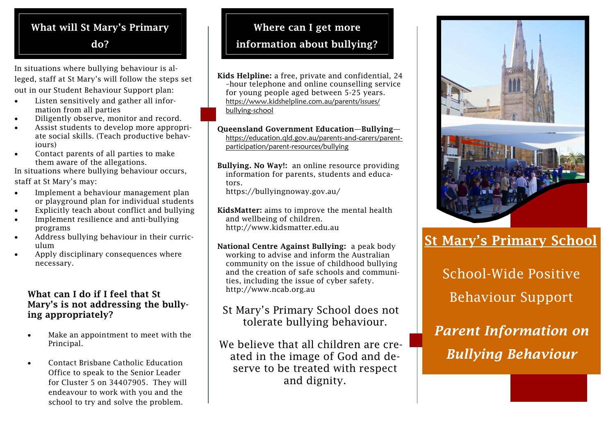## What will St Mary's Primary do?

In situations where bullying behaviour is alleged, staff at St Mary's will follow the steps set out in our Student Behaviour Support plan:

- Listen sensitively and gather all information from all parties
- Diligently observe, monitor and record.
- Assist students to develop more appropriate social skills. (Teach productive behaviours)
- Contact parents of all parties to make them aware of the allegations.

In situations where bullying behaviour occurs, staff at St Mary's may:

- Implement a behaviour management plan or playground plan for individual students
- Explicitly teach about conflict and bullying
- Implement resilience and anti-bullying programs
- Address bullying behaviour in their curriculum
- Apply disciplinary consequences where necessary.

#### What can I do if I feel that St Mary's is not addressing the bullying appropriately?

- Make an appointment to meet with the Principal.
- Contact Brisbane Catholic Education Office to speak to the Senior Leader for Cluster 5 on 34407905. They will endeavour to work with you and the school to try and solve the problem.

# Where can I get more information about bullying?

Kids Helpline: a free, private and confidential, 24 –hour telephone and online counselling service for young people aged between 5-25 years. [https://www.kidshelpline.com.au/parents/issues/](https://www.kidshelpline.com.au/parents/issues/bullying-school) [bullying-school](https://www.kidshelpline.com.au/parents/issues/bullying-school)

Queensland Government Education—Bullying [https://education.qld.gov.au/parents-and-carers/parent](https://education.qld.gov.au/parents-and-carers/parent-participation/parent-resources/bullying)[participation/parent-resources/bullying](https://education.qld.gov.au/parents-and-carers/parent-participation/parent-resources/bullying)

Bullying. No Way!: an online resource providing information for parents, students and educators. https://bullyingnoway.gov.au/

KidsMatter: aims to improve the mental health and wellbeing of children. http://www.kidsmatter.edu.au

National Centre Against Bullying: a peak body working to advise and inform the Australian community on the issue of childhood bullying and the creation of safe schools and communities, including the issue of cyber safety. http://www.ncab.org.au

## St Mary's Primary School does not tolerate bullying behaviour.

We believe that all children are created in the image of God and deserve to be treated with respect and dignity.



# St Mary's Primary School

School-Wide Positive Behaviour Support

*Parent Information on Bullying Behaviour*